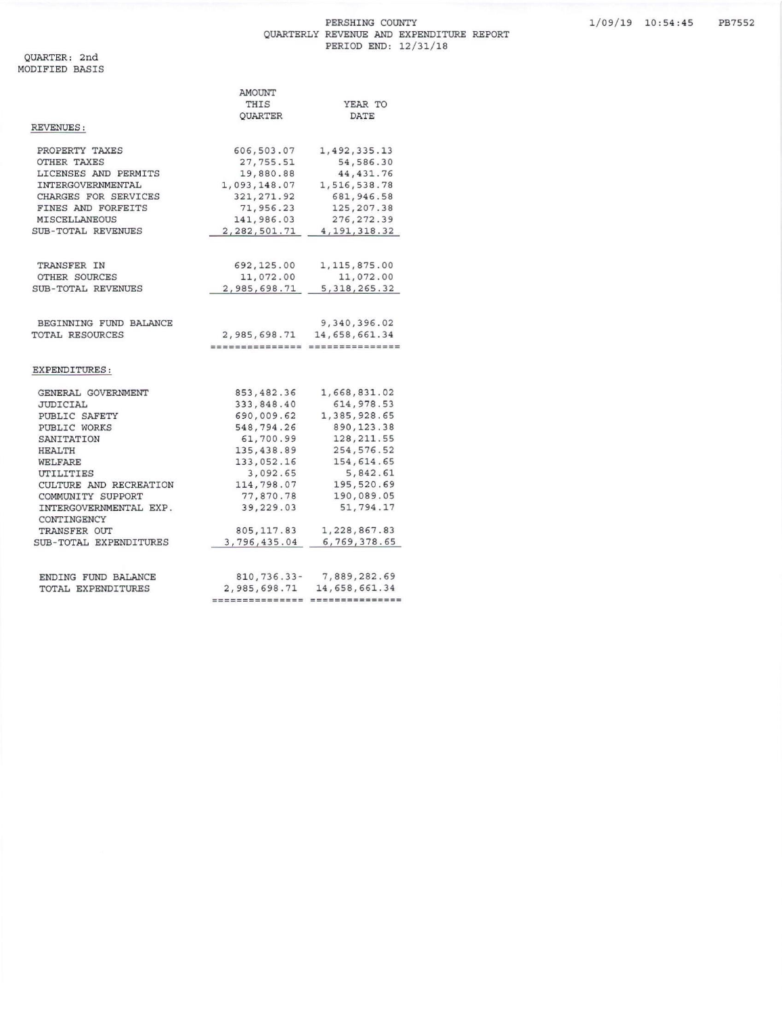## PERSHING COUNTY QUARTERLY REVENUE AND EXPENDITURE REPORT PERIOD END: 12/31/18

QUARTER: 2nd<br>MODIFIED BASIS

|                                       | AMOUNT                          |                |  |
|---------------------------------------|---------------------------------|----------------|--|
|                                       | THIS                            | YEAR TO        |  |
|                                       | QUARTER                         | DATE           |  |
| REVENUES:                             |                                 |                |  |
| PROPERTY TAXES                        | 606,503.07                      | 1,492,335.13   |  |
| OTHER TAXES                           | 27,755.51                       | 54,586.30      |  |
| LICENSES AND PERMITS                  | 19,880.88                       | 44, 431.76     |  |
| INTERGOVERNMENTAL                     | 1,093,148.07                    | 1,516,538.78   |  |
| CHARGES FOR SERVICES                  | 321, 271.92                     | 681, 946.58    |  |
| FINES AND FORFEITS                    | 71,956.23                       | 125, 207.38    |  |
| MISCELLANEOUS                         | 141,986.03                      | 276, 272.39    |  |
| SUB-TOTAL REVENUES                    | 2,282,501.71                    | 4, 191, 318.32 |  |
| TRANSFER IN                           | 692,125.00                      | 1,115,875.00   |  |
| OTHER SOURCES                         | 11,072.00                       | 11,072.00      |  |
| SUB-TOTAL REVENUES                    | 2,985,698.71                    | 5, 318, 265.32 |  |
|                                       |                                 |                |  |
| BEGINNING FUND BALANCE                |                                 | 9,340,396.02   |  |
| TOTAL RESOURCES                       | 2,985,698.71                    | 14,658,661.34  |  |
|                                       | --------------- --------------- |                |  |
| EXPENDITURES:                         |                                 |                |  |
| GENERAL GOVERNMENT                    | 853,482.36                      | 1,668,831.02   |  |
| JUDICIAL                              | 333,848.40                      | 614, 978.53    |  |
| PUBLIC SAFETY                         | 690,009.62                      | 1,385,928.65   |  |
| PUBLIC WORKS                          | 548,794.26                      | 890, 123.38    |  |
| SANITATION                            | 61,700.99                       | 128, 211.55    |  |
| HEALTH                                | 135,438.89                      | 254, 576.52    |  |
| WELFARE                               | 133,052.16                      | 154,614.65     |  |
| UTILITIES                             | 3,092.65                        | 5,842.61       |  |
| CULTURE AND RECREATION                | 114,798.07                      | 195,520.69     |  |
| COMMUNITY SUPPORT                     | 77,870.78                       | 190,089.05     |  |
| INTERGOVERNMENTAL EXP.<br>CONTINGENCY | 39,229.03                       | 51,794.17      |  |
| TRANSFER OUT                          | 805, 117.83                     | 1,228,867.83   |  |
| SUB-TOTAL EXPENDITURES                | 3,796,435.04                    | 6,769,378.65   |  |
| ENDING FUND BALANCE                   | 810, 736.33-                    | 7,889,282.69   |  |
| TOTAL EXPENDITURES                    | 2,985,698.71                    | 14,658,661.34  |  |
|                                       | ============                    | ============== |  |
|                                       |                                 |                |  |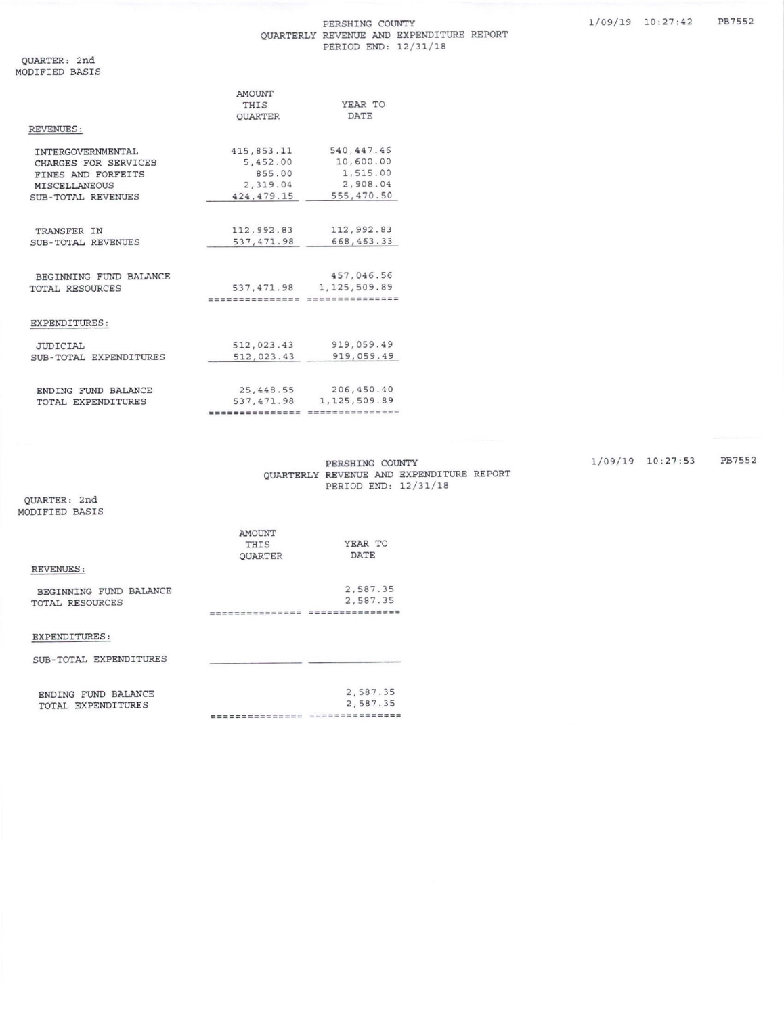|                        | <b>AMOUNT</b>    |                                                |
|------------------------|------------------|------------------------------------------------|
|                        | THIS             | YEAR TO                                        |
|                        | <b>OUARTER</b>   | <b>DATE</b>                                    |
| <b>REVENUES:</b>       |                  |                                                |
| INTERGOVERNMENTAL      | 415,853.11       | 540, 447.46                                    |
| CHARGES FOR SERVICES   | 5,452.00         | 10,600.00                                      |
| FINES AND FORFEITS     | 855.00           | 1,515.00                                       |
| MISCELLANEOUS          | 2,319.04         | 2.908.04                                       |
| SUB-TOTAL REVENUES     | 424, 479.15      | 555,470.50                                     |
|                        |                  |                                                |
| TRANSFER IN            | 112,992.83       | 112,992.83                                     |
| SUB-TOTAL REVENUES     | 537, 471.98      | 668, 463.33                                    |
| BEGINNING FUND BALANCE |                  | 457,046.56                                     |
| TOTAL RESOURCES        | 537, 471.98      | 1, 125, 509.89                                 |
|                        | ---------------- | ---------------                                |
| EXPENDITURES:          |                  |                                                |
| <b>JUDICIAL</b>        | 512,023.43       | 919,059.49                                     |
| SUB-TOTAL EXPENDITURES | 512,023.43       | 919,059.49                                     |
| ENDING FUND BALANCE    | 25, 448.55       | 206,450.40                                     |
| TOTAL EXPENDITURES     | 537, 471.98      | 1, 125, 509.89                                 |
|                        | --------------   | we see out out on the sea was out on the first |
|                        |                  |                                                |

PERSHING COUNTY QUARTERLY REVENUE AND EXPENDITURE REPORT PERIOD END: 12/31/18

QUARTER: 2nd MODIFIED BASIS

|                        | <b>AMOUNT</b>  |             |
|------------------------|----------------|-------------|
|                        | THIS           | YEAR TO     |
|                        | <b>OUARTER</b> | <b>DATE</b> |
| <b>REVENUES:</b>       |                |             |
| BEGINNING FUND BALANCE |                | 2,587.35    |
| TOTAL RESOURCES        |                | 2,587.35    |
|                        | --------       |             |
| EXPENDITURES:          |                |             |
| SUB-TOTAL EXPENDITURES |                |             |
|                        |                |             |

| ENDING FUND BALANCE | 2,587.35                                                                          |
|---------------------|-----------------------------------------------------------------------------------|
| TOTAL EXPENDITURES  | 2,587.35                                                                          |
|                     | seen sews man seen seas was that they could man really men could need a season of |

1/09/19 10:27:53 PB7552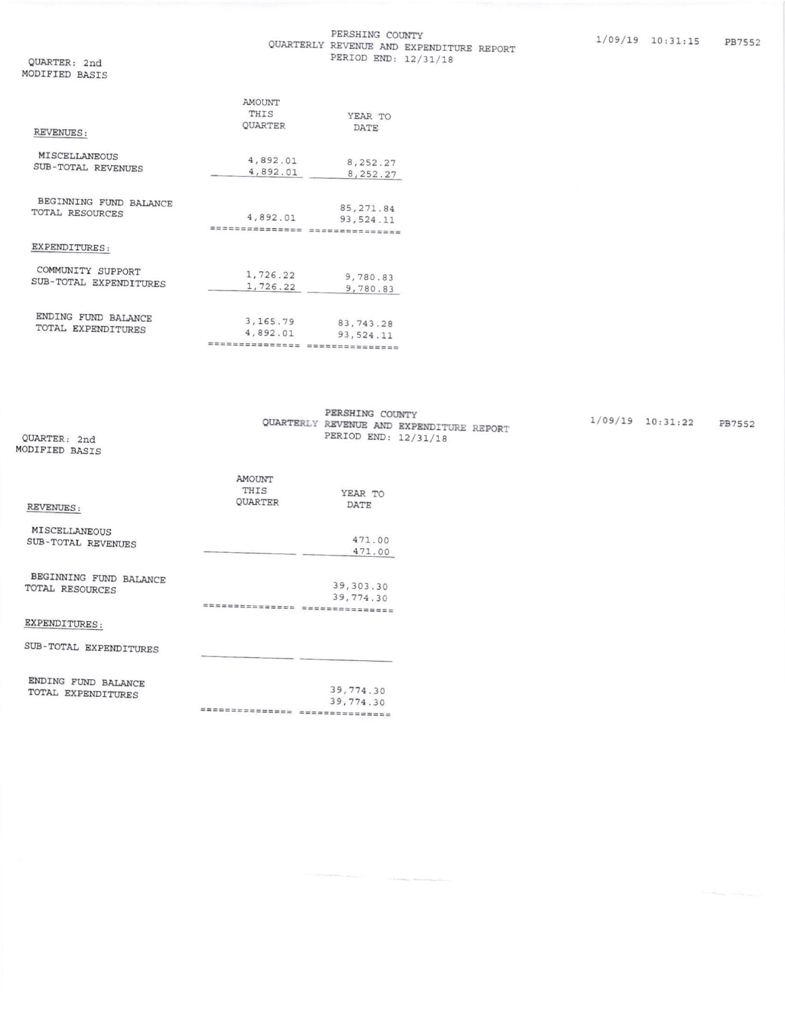## PERSHING COUNTY QUARTERLY REVENUE AND EXPENDITURE REPORT PERIOD END: 12/31/18

QUARTER: 2nd MODIFIED BASIS

|                                             | AMOUNT                            |                              |
|---------------------------------------------|-----------------------------------|------------------------------|
|                                             | THIS                              | YEAR TO                      |
| REVENUES:                                   | QUARTER                           | DATE                         |
| MISCELLANEOUS                               | 4,892.01                          | 8,252.27                     |
| SUB-TOTAL REVENUES                          | 4,892.01                          | 8, 252.27                    |
| BEGINNING FUND BALANCE<br>TOTAL RESOURCES   |                                   | 85, 271.84                   |
|                                             | 4,892.01<br>. = = = = = = = = = = | 93,524.11<br>=============== |
| EXPENDITURES:                               |                                   |                              |
| COMMUNITY SUPPORT<br>SUB-TOTAL EXPENDITURES | 1,726.22                          | 9,780.83                     |
|                                             | 1,726.22                          | 9,780.83                     |
| ENDING FUND BALANCE                         | 3, 165.79                         | 83, 743.28                   |
| TOTAL EXPENDITURES                          | 4,892.01                          | 93,524.11                    |
|                                             | musancacces                       | ===============              |

| OUARTER: 2nd<br>MODIFIED BASIS            |                           | PERSHING COUNTY<br>QUARTERLY REVENUE AND EXPENDITURE REPORT<br>PERIOD END: 12/31/18 |  |
|-------------------------------------------|---------------------------|-------------------------------------------------------------------------------------|--|
| REVENUES:                                 | AMOUNT<br>THIS<br>OUARTER | YEAR TO<br>DATE                                                                     |  |
| MISCELLANEOUS<br>SUB-TOTAL REVENUES       |                           | 471.00<br>471.00                                                                    |  |
| BEGINNING FUND BALANCE<br>TOTAL RESOURCES | ===============           | 39, 303.30<br>39,774.30<br>===============                                          |  |

## EXPENDITURES:

| SUB-TOTAL EXPENDITURES |           |
|------------------------|-----------|
| ENDING FUND BALANCE    | 39,774.30 |
| TOTAL EXPENDITURES     |           |

39,774.30 ================================  $1/09/19$   $10:31:22$  PB7552